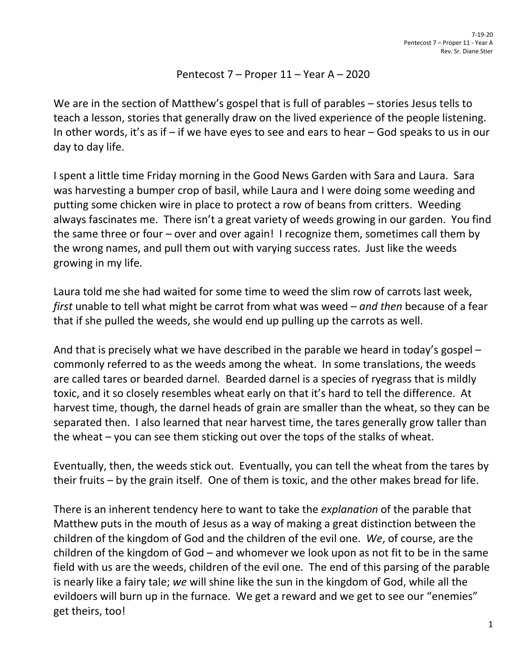## Pentecost 7 – Proper 11 – Year A – 2020

We are in the section of Matthew's gospel that is full of parables – stories Jesus tells to teach a lesson, stories that generally draw on the lived experience of the people listening. In other words, it's as if – if we have eyes to see and ears to hear – God speaks to us in our day to day life.

I spent a little time Friday morning in the Good News Garden with Sara and Laura. Sara was harvesting a bumper crop of basil, while Laura and I were doing some weeding and putting some chicken wire in place to protect a row of beans from critters. Weeding always fascinates me. There isn't a great variety of weeds growing in our garden. You find the same three or four – over and over again! I recognize them, sometimes call them by the wrong names, and pull them out with varying success rates. Just like the weeds growing in my life.

Laura told me she had waited for some time to weed the slim row of carrots last week, *first* unable to tell what might be carrot from what was weed – *and then* because of a fear that if she pulled the weeds, she would end up pulling up the carrots as well.

And that is precisely what we have described in the parable we heard in today's gospel – commonly referred to as the weeds among the wheat. In some translations, the weeds are called tares or bearded darnel. Bearded darnel is a species of ryegrass that is mildly toxic, and it so closely resembles wheat early on that it's hard to tell the difference. At harvest time, though, the darnel heads of grain are smaller than the wheat, so they can be separated then. I also learned that near harvest time, the tares generally grow taller than the wheat – you can see them sticking out over the tops of the stalks of wheat.

Eventually, then, the weeds stick out. Eventually, you can tell the wheat from the tares by their fruits – by the grain itself. One of them is toxic, and the other makes bread for life.

There is an inherent tendency here to want to take the *explanation* of the parable that Matthew puts in the mouth of Jesus as a way of making a great distinction between the children of the kingdom of God and the children of the evil one. *We*, of course, are the children of the kingdom of God – and whomever we look upon as not fit to be in the same field with us are the weeds, children of the evil one. The end of this parsing of the parable is nearly like a fairy tale; *we* will shine like the sun in the kingdom of God, while all the evildoers will burn up in the furnace. We get a reward and we get to see our "enemies" get theirs, too!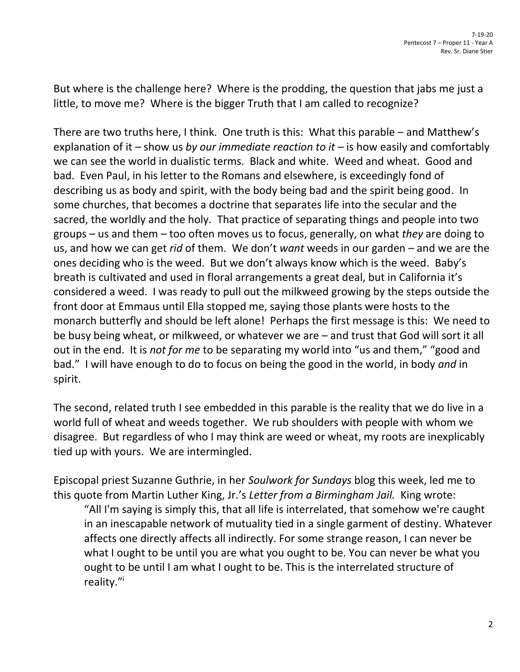But where is the challenge here? Where is the prodding, the question that jabs me just a little, to move me? Where is the bigger Truth that I am called to recognize?

There are two truths here, I think. One truth is this: What this parable – and Matthew's explanation of it – show us *by our immediate reaction to it* – is how easily and comfortably we can see the world in dualistic terms. Black and white. Weed and wheat. Good and bad. Even Paul, in his letter to the Romans and elsewhere, is exceedingly fond of describing us as body and spirit, with the body being bad and the spirit being good. In some churches, that becomes a doctrine that separates life into the secular and the sacred, the worldly and the holy. That practice of separating things and people into two groups – us and them – too often moves us to focus, generally, on what *they* are doing to us, and how we can get *rid* of them. We don't *want* weeds in our garden – and we are the ones deciding who is the weed. But we don't always know which is the weed. Baby's breath is cultivated and used in floral arrangements a great deal, but in California it's considered a weed. I was ready to pull out the milkweed growing by the steps outside the front door at Emmaus until Ella stopped me, saying those plants were hosts to the monarch butterfly and should be left alone! Perhaps the first message is this: We need to be busy being wheat, or milkweed, or whatever we are – and trust that God will sort it all out in the end. It is *not for me* to be separating my world into "us and them," "good and bad." I will have enough to do to focus on being the good in the world, in body *and* in spirit.

The second, related truth I see embedded in this parable is the reality that we do live in a world full of wheat and weeds together. We rub shoulders with people with whom we disagree. But regardless of who I may think are weed or wheat, my roots are inexplicably tied up with yours. We are intermingled.

Episcopal priest Suzanne Guthrie, in her *Soulwork for Sundays* blog this week, led me to this quote from Martin Luther King, Jr.'s *Letter from a Birmingham Jail.* King wrote:

"All I'm saying is simply this, that all life is interrelated, that somehow we're caught in an inescapable network of mutuality tied in a single garment of destiny. Whatever affects one directly affects all indirectly. For some strange reason, I can never be what I ought to be until you are what you ought to be. You can never be what you ought to be until I am what I ought to be. This is the interrelated structure of reality."<sup>i</sup>